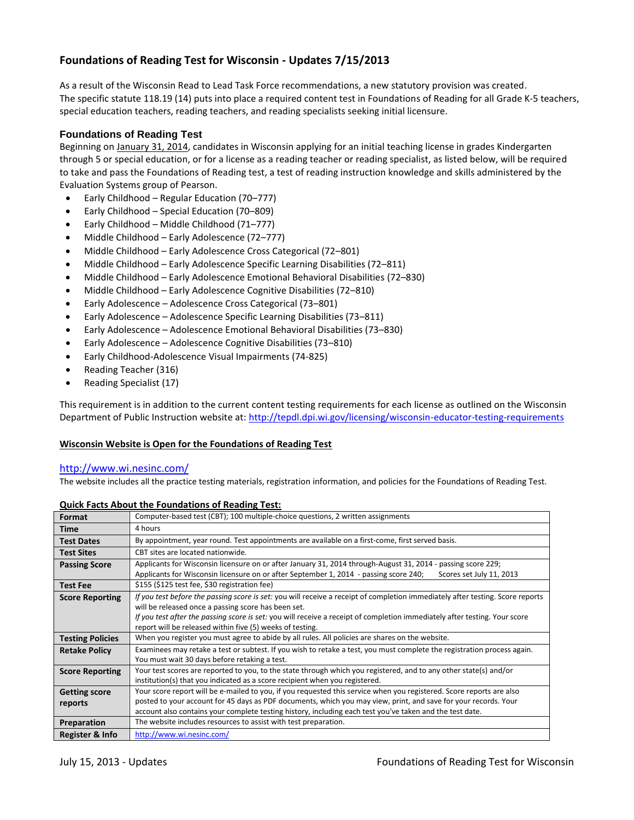# **Foundations of Reading Test for Wisconsin - Updates 7/15/2013**

As a result of the Wisconsin Read to Lead Task Force recommendations, a new statutory provision was created. The specific statute 118.19 (14) puts into place a required content test in Foundations of Reading for all Grade K-5 teachers, special education teachers, reading teachers, and reading specialists seeking initial licensure.

# **Foundations of Reading Test**

Beginning on January 31, 2014, candidates in Wisconsin applying for an initial teaching license in grades Kindergarten through 5 or special education, or for a license as a reading teacher or reading specialist, as listed below, will be required to take and pass the Foundations of Reading test, a test of reading instruction knowledge and skills administered by the Evaluation Systems group of Pearson.

- Early Childhood Regular Education (70–777)
- Early Childhood Special Education (70–809)
- Early Childhood Middle Childhood (71–777)
- Middle Childhood Early Adolescence (72–777)
- Middle Childhood Early Adolescence Cross Categorical (72–801)
- Middle Childhood Early Adolescence Specific Learning Disabilities (72–811)
- Middle Childhood Early Adolescence Emotional Behavioral Disabilities (72–830)
- Middle Childhood Early Adolescence Cognitive Disabilities (72–810)
- Early Adolescence Adolescence Cross Categorical (73–801)
- Early Adolescence Adolescence Specific Learning Disabilities (73–811)
- Early Adolescence Adolescence Emotional Behavioral Disabilities (73–830)
- Early Adolescence Adolescence Cognitive Disabilities (73–810)
- Early Childhood-Adolescence Visual Impairments (74-825)
- Reading Teacher (316)
- Reading Specialist (17)

This requirement is in addition to the current content testing requirements for each license as outlined on the Wisconsin Department of Public Instruction website at:<http://tepdl.dpi.wi.gov/licensing/wisconsin-educator-testing-requirements>

# **Wisconsin Website is Open for the Foundations of Reading Test**

#### <http://www.wi.nesinc.com/>

The website includes all the practice testing materials, registration information, and policies for the Foundations of Reading Test.

# **Quick Facts About the Foundations of Reading Test:**

| Format                          | Computer-based test (CBT); 100 multiple-choice questions, 2 written assignments                                                                                                                                                                                                                                                                     |
|---------------------------------|-----------------------------------------------------------------------------------------------------------------------------------------------------------------------------------------------------------------------------------------------------------------------------------------------------------------------------------------------------|
| Time                            | 4 hours                                                                                                                                                                                                                                                                                                                                             |
| <b>Test Dates</b>               | By appointment, year round. Test appointments are available on a first-come, first served basis.                                                                                                                                                                                                                                                    |
| <b>Test Sites</b>               | CBT sites are located nationwide.                                                                                                                                                                                                                                                                                                                   |
| <b>Passing Score</b>            | Applicants for Wisconsin licensure on or after January 31, 2014 through-August 31, 2014 - passing score 229;<br>Applicants for Wisconsin licensure on or after September 1, 2014 - passing score 240;<br>Scores set July 11, 2013                                                                                                                   |
| <b>Test Fee</b>                 | \$155 (\$125 test fee, \$30 registration fee)                                                                                                                                                                                                                                                                                                       |
| <b>Score Reporting</b>          | If you test before the passing score is set: you will receive a receipt of completion immediately after testing. Score reports<br>will be released once a passing score has been set.<br>If you test after the passing score is set: you will receive a receipt of completion immediately after testing. Your score                                 |
|                                 | report will be released within five (5) weeks of testing.                                                                                                                                                                                                                                                                                           |
| <b>Testing Policies</b>         | When you register you must agree to abide by all rules. All policies are shares on the website.                                                                                                                                                                                                                                                     |
| <b>Retake Policy</b>            | Examinees may retake a test or subtest. If you wish to retake a test, you must complete the registration process again.<br>You must wait 30 days before retaking a test.                                                                                                                                                                            |
| <b>Score Reporting</b>          | Your test scores are reported to you, to the state through which you registered, and to any other state(s) and/or<br>institution(s) that you indicated as a score recipient when you registered.                                                                                                                                                    |
| <b>Getting score</b><br>reports | Your score report will be e-mailed to you, if you requested this service when you registered. Score reports are also<br>posted to your account for 45 days as PDF documents, which you may view, print, and save for your records. Your<br>account also contains your complete testing history, including each test you've taken and the test date. |
| Preparation                     | The website includes resources to assist with test preparation.                                                                                                                                                                                                                                                                                     |
| Register & Info                 | http://www.wi.nesinc.com/                                                                                                                                                                                                                                                                                                                           |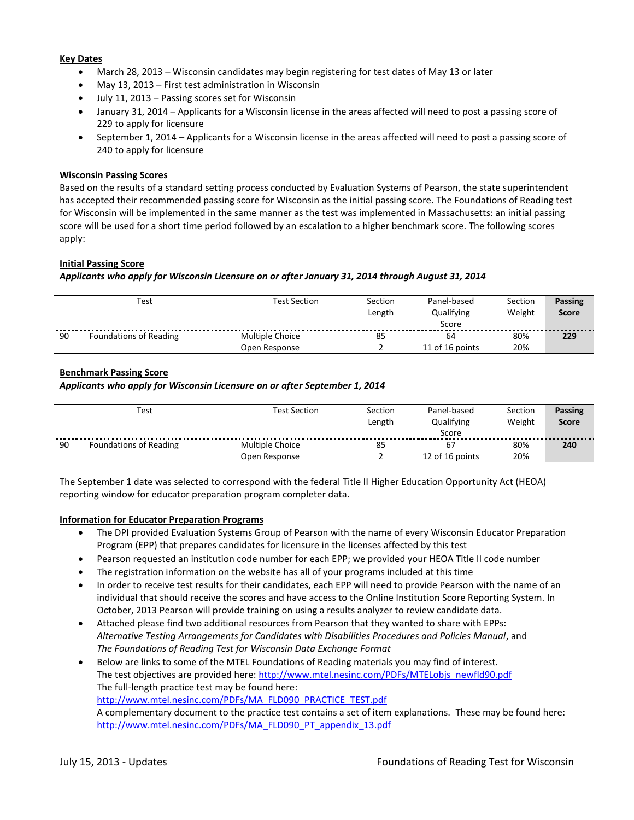# **Key Dates**

- March 28, 2013 Wisconsin candidates may begin registering for test dates of May 13 or later
- May 13, 2013 First test administration in Wisconsin
- July 11, 2013 Passing scores set for Wisconsin
- January 31, 2014 Applicants for a Wisconsin license in the areas affected will need to post a passing score of 229 to apply for licensure
- September 1, 2014 Applicants for a Wisconsin license in the areas affected will need to post a passing score of 240 to apply for licensure

#### **Wisconsin Passing Scores**

Based on the results of a standard setting process conducted by Evaluation Systems of Pearson, the state superintendent has accepted their recommended passing score for Wisconsin as the initial passing score. The Foundations of Reading test for Wisconsin will be implemented in the same manner as the test was implemented in Massachusetts: an initial passing score will be used for a short time period followed by an escalation to a higher benchmark score. The following scores apply:

## **Initial Passing Score**

#### *Applicants who apply for Wisconsin Licensure on or after January 31, 2014 through August 31, 2014*

|    | Test                   | <b>Test Section</b> | Section<br>Length | Panel-based<br>Qualifying<br>Score | Section<br>Weight | <b>Passing</b><br><b>Score</b> |
|----|------------------------|---------------------|-------------------|------------------------------------|-------------------|--------------------------------|
| 90 | Foundations of Reading | Multiple Choice     | 85                | 64                                 | 80%               | 229                            |
|    |                        | Open Response       |                   | 11 of 16 points                    | 20%               |                                |

## **Benchmark Passing Score**

#### *Applicants who apply for Wisconsin Licensure on or after September 1, 2014*

| Test |                        | <b>Test Section</b> | Section<br>Length | Panel-based<br>Qualifying<br>Score | Section<br>Weight | <b>Passing</b><br><b>Score</b> |
|------|------------------------|---------------------|-------------------|------------------------------------|-------------------|--------------------------------|
| 90   | Foundations of Reading | Multiple Choice     | 85                | 67                                 | 80%               | 240                            |
|      |                        | Open Response       |                   | 12 of 16 points                    | 20%               |                                |

The September 1 date was selected to correspond with the federal Title II Higher Education Opportunity Act (HEOA) reporting window for educator preparation program completer data.

#### **Information for Educator Preparation Programs**

- The DPI provided Evaluation Systems Group of Pearson with the name of every Wisconsin Educator Preparation Program (EPP) that prepares candidates for licensure in the licenses affected by this test
- Pearson requested an institution code number for each EPP; we provided your HEOA Title II code number
- The registration information on the website has all of your programs included at this time
- In order to receive test results for their candidates, each EPP will need to provide Pearson with the name of an individual that should receive the scores and have access to the Online Institution Score Reporting System. In October, 2013 Pearson will provide training on using a results analyzer to review candidate data.
- Attached please find two additional resources from Pearson that they wanted to share with EPPs: *Alternative Testing Arrangements for Candidates with Disabilities Procedures and Policies Manual*, and *The Foundations of Reading Test for Wisconsin Data Exchange Format*
- Below are links to some of the MTEL Foundations of Reading materials you may find of interest. The test objectives are provided here: [http://www.mtel.nesinc.com/PDFs/MTELobjs\\_newfld90.pdf](http://www.mtel.nesinc.com/PDFs/MTELobjs_newfld90.pdf) The full-length practice test may be found here: [http://www.mtel.nesinc.com/PDFs/MA\\_FLD090\\_PRACTICE\\_TEST.pdf](http://www.mtel.nesinc.com/PDFs/MA_FLD090_PRACTICE_TEST.pdf) A complementary document to the practice test contains a set of item explanations. These may be found here: [http://www.mtel.nesinc.com/PDFs/MA\\_FLD090\\_PT\\_appendix\\_13.pdf](http://www.mtel.nesinc.com/PDFs/MA_FLD090_PT_appendix_13.pdf)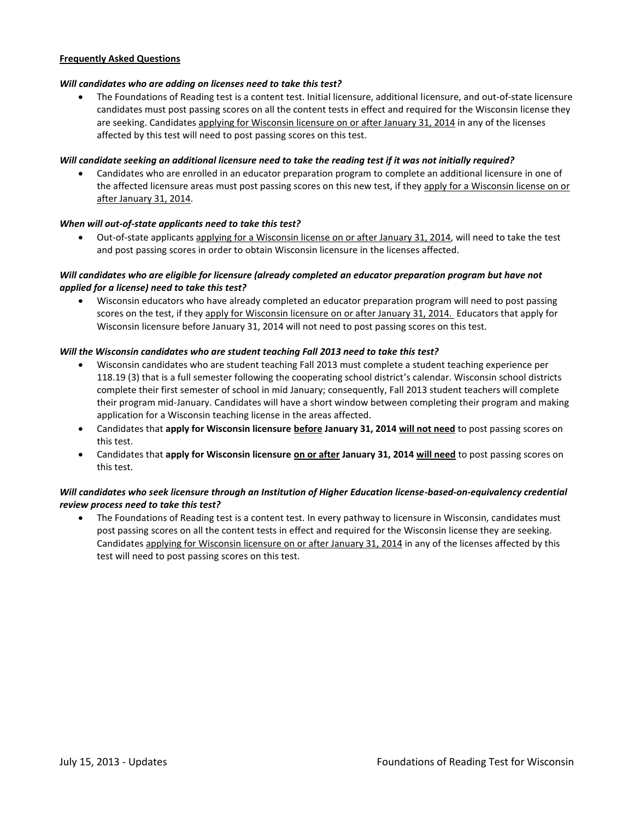# **Frequently Asked Questions**

#### *Will candidates who are adding on licenses need to take this test?*

 The Foundations of Reading test is a content test. Initial licensure, additional licensure, and out-of-state licensure candidates must post passing scores on all the content tests in effect and required for the Wisconsin license they are seeking. Candidates applying for Wisconsin licensure on or after January 31, 2014 in any of the licenses affected by this test will need to post passing scores on this test.

#### *Will candidate seeking an additional licensure need to take the reading test if it was not initially required?*

 Candidates who are enrolled in an educator preparation program to complete an additional licensure in one of the affected licensure areas must post passing scores on this new test, if they apply for a Wisconsin license on or after January 31, 2014.

#### *When will out-of-state applicants need to take this test?*

 Out-of-state applicants applying for a Wisconsin license on or after January 31, 2014, will need to take the test and post passing scores in order to obtain Wisconsin licensure in the licenses affected.

## *Will candidates who are eligible for licensure (already completed an educator preparation program but have not applied for a license) need to take this test?*

 Wisconsin educators who have already completed an educator preparation program will need to post passing scores on the test, if they apply for Wisconsin licensure on or after January 31, 2014. Educators that apply for Wisconsin licensure before January 31, 2014 will not need to post passing scores on this test.

#### *Will the Wisconsin candidates who are student teaching Fall 2013 need to take this test?*

- Wisconsin candidates who are student teaching Fall 2013 must complete a student teaching experience per 118.19 (3) that is a full semester following the cooperating school district's calendar. Wisconsin school districts complete their first semester of school in mid January; consequently, Fall 2013 student teachers will complete their program mid-January. Candidates will have a short window between completing their program and making application for a Wisconsin teaching license in the areas affected.
- Candidates that **apply for Wisconsin licensure before January 31, 2014 will not need** to post passing scores on this test.
- Candidates that **apply for Wisconsin licensure on or after January 31, 2014 will need** to post passing scores on this test.

## *Will candidates who seek licensure through an Institution of Higher Education license-based-on-equivalency credential review process need to take this test?*

 The Foundations of Reading test is a content test. In every pathway to licensure in Wisconsin, candidates must post passing scores on all the content tests in effect and required for the Wisconsin license they are seeking. Candidates applying for Wisconsin licensure on or after January 31, 2014 in any of the licenses affected by this test will need to post passing scores on this test.